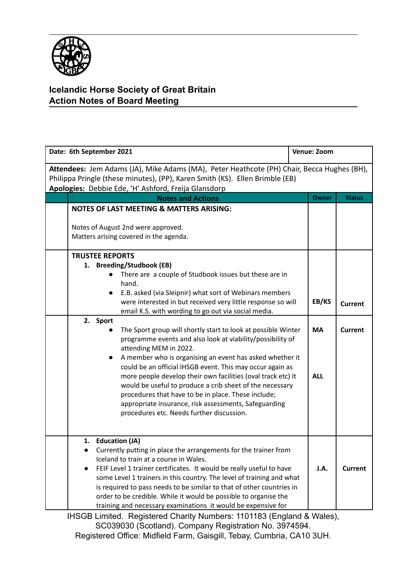

## **Icelandic Horse Society of Great Britain Action Notes of Board Meeting**

| Date: 6th September 2021                                                                                                                                                                                                           |                                                                                                                                                                                                                                                                                                                                                                                                                                                                                                                                                                                                                                                                                                                                                                                                                                                                                                 | Venue: Zoom                      |                                  |  |
|------------------------------------------------------------------------------------------------------------------------------------------------------------------------------------------------------------------------------------|-------------------------------------------------------------------------------------------------------------------------------------------------------------------------------------------------------------------------------------------------------------------------------------------------------------------------------------------------------------------------------------------------------------------------------------------------------------------------------------------------------------------------------------------------------------------------------------------------------------------------------------------------------------------------------------------------------------------------------------------------------------------------------------------------------------------------------------------------------------------------------------------------|----------------------------------|----------------------------------|--|
| Attendees: Jem Adams (JA), Mike Adams (MA), Peter Heathcote (PH) Chair, Becca Hughes (BH),<br>Philippa Pringle (these minutes), (PP), Karen Smith (KS). Ellen Brimble (EB)<br>Apologies: Debbie Ede, 'H' Ashford, Freija Glansdorp |                                                                                                                                                                                                                                                                                                                                                                                                                                                                                                                                                                                                                                                                                                                                                                                                                                                                                                 |                                  |                                  |  |
|                                                                                                                                                                                                                                    | <b>Notes and Actions</b>                                                                                                                                                                                                                                                                                                                                                                                                                                                                                                                                                                                                                                                                                                                                                                                                                                                                        | <b>Owner</b>                     | <b>Status</b>                    |  |
|                                                                                                                                                                                                                                    | <b>NOTES OF LAST MEETING &amp; MATTERS ARISING:</b><br>Notes of August 2nd were approved.<br>Matters arising covered in the agenda.                                                                                                                                                                                                                                                                                                                                                                                                                                                                                                                                                                                                                                                                                                                                                             |                                  |                                  |  |
|                                                                                                                                                                                                                                    | <b>TRUSTEE REPORTS</b><br>1. Breeding/Studbook (EB)<br>There are a couple of Studbook issues but these are in<br>hand.<br>E.B. asked (via Sleipnir) what sort of Webinars members<br>were interested in but received very little response so will<br>email K.S. with wording to go out via social media.<br>2. Sport<br>The Sport group will shortly start to look at possible Winter<br>programme events and also look at viability/possibility of<br>attending MEM in 2022.<br>A member who is organising an event has asked whether it<br>could be an official IHSGB event. This may occur again as<br>more people develop their own facilities (oval track etc) It<br>would be useful to produce a crib sheet of the necessary<br>procedures that have to be in place. These include;<br>appropriate insurance, risk assessments, Safeguarding<br>procedures etc. Needs further discussion. | EB/KS<br><b>MA</b><br><b>ALL</b> | <b>Current</b><br><b>Current</b> |  |
|                                                                                                                                                                                                                                    | 1. Education (JA)<br>Currently putting in place the arrangements for the trainer from<br>Iceland to train at a course in Wales.<br>FEIF Level 1 trainer certificates. It would be really useful to have<br>some Level 1 trainers in this country. The level of training and what<br>is required to pass needs to be similar to that of other countries in<br>order to be credible. While it would be possible to organise the<br>training and necessary examinations it would be expensive for                                                                                                                                                                                                                                                                                                                                                                                                  | J.A.                             | <b>Current</b>                   |  |

IHSGB Limited. Registered Charity Numbers: 1101183 (England & Wales), SC039030 (Scotland). Company Registration No. 3974594. Registered Office: Midfield Farm, Gaisgill, Tebay, Cumbria, CA10 3UH.